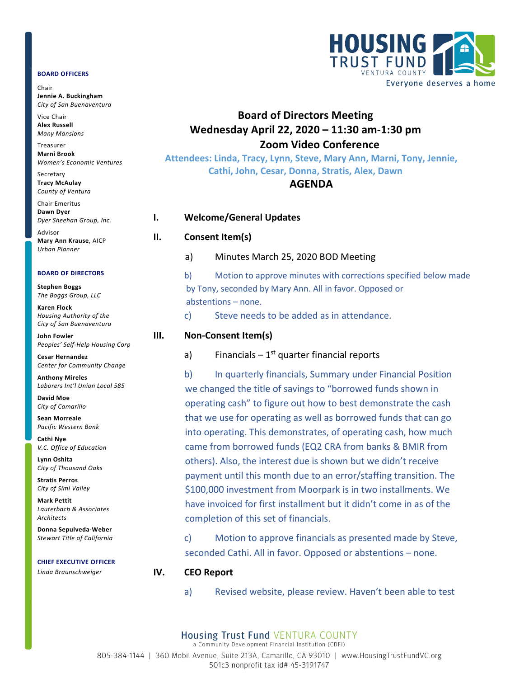### **BOARD OFFICERS**

Chair **Jennie A. Buckingham** *City of San Buenaventura*

Vice Chair **Alex Russell** *Many Mansions*

Treasurer **Marni Brook** *Women's Economic Ventures*

Secretary **Tracy McAulay** *County of Ventura*

Chair Emeritus **Dawn Dyer** *Dyer Sheehan Group, Inc.* Advisor

**Mary Ann Krause**, AICP *Urban Planner*

### **BOARD OF DIRECTORS**

**Stephen Boggs** *The Boggs Group, LLC* 

**Karen Flock** *Housing Authority of the City of San Buenaventura*

**John Fowler** *Peoples' Self-Help Housing Corp*

**Cesar Hernandez** *Center for Community Change*

**Anthony Mireles** *Laborers Int'l Union Local 585*

**David Moe** *City of Camarillo*

**Sean Morreale** *Pacific Western Bank*

**Cathi Nye** *V.C. Office of Education*

**Lynn Oshita** *City of Thousand Oaks*

**Stratis Perros** *City of Simi Valley*

**Mark Pettit** *Lauterbach & Associates Architects*

**Donna Sepulveda-Weber** *Stewart Title of California*

### **CHIEF EXECUTIVE OFFICER**

*Linda Braunschweiger*



# **Board of Directors Meeting Wednesday April 22, 2020 – 11:30 am-1:30 pm Zoom Video Conference**

**Attendees: Linda, Tracy, Lynn, Steve, Mary Ann, Marni, Tony, Jennie, Cathi, John, Cesar, Donna, Stratis, Alex, Dawn**

## **AGENDA**

### **I. Welcome/General Updates**

### **II. Consent Item(s)**

a) Minutes March 25, 2020 BOD Meeting

b) Motion to approve minutes with corrections specified below made by Tony, seconded by Mary Ann. All in favor. Opposed or abstentions – none.

c) Steve needs to be added as in attendance.

a) Financials –  $1<sup>st</sup>$  quarter financial reports

b) In quarterly financials, Summary under Financial Position we changed the title of savings to "borrowed funds shown in operating cash" to figure out how to best demonstrate the cash that we use for operating as well as borrowed funds that can go into operating. This demonstrates, of operating cash, how much came from borrowed funds (EQ2 CRA from banks & BMIR from others). Also, the interest due is shown but we didn't receive payment until this month due to an error/staffing transition. The \$100,000 investment from Moorpark is in two installments. We have invoiced for first installment but it didn't come in as of the completion of this set of financials.

c) Motion to approve financials as presented made by Steve, seconded Cathi. All in favor. Opposed or abstentions – none.

### **IV. CEO Report**

a) Revised website, please review. Haven't been able to test

# **III. Non-Consent Item(s)**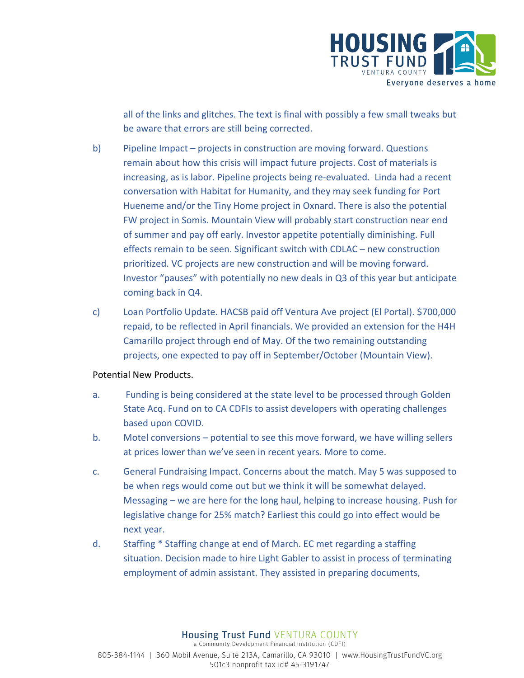

all of the links and glitches. The text is final with possibly a few small tweaks but be aware that errors are still being corrected.

- b) Pipeline Impact projects in construction are moving forward. Questions remain about how this crisis will impact future projects. Cost of materials is increasing, as is labor. Pipeline projects being re-evaluated. Linda had a recent conversation with Habitat for Humanity, and they may seek funding for Port Hueneme and/or the Tiny Home project in Oxnard. There is also the potential FW project in Somis. Mountain View will probably start construction near end of summer and pay off early. Investor appetite potentially diminishing. Full effects remain to be seen. Significant switch with CDLAC – new construction prioritized. VC projects are new construction and will be moving forward. Investor "pauses" with potentially no new deals in Q3 of this year but anticipate coming back in Q4.
- c) Loan Portfolio Update. HACSB paid off Ventura Ave project (El Portal). \$700,000 repaid, to be reflected in April financials. We provided an extension for the H4H Camarillo project through end of May. Of the two remaining outstanding projects, one expected to pay off in September/October (Mountain View).

# Potential New Products.

- a. Funding is being considered at the state level to be processed through Golden State Acq. Fund on to CA CDFIs to assist developers with operating challenges based upon COVID.
- b. Motel conversions potential to see this move forward, we have willing sellers at prices lower than we've seen in recent years. More to come.
- c. General Fundraising Impact. Concerns about the match. May 5 was supposed to be when regs would come out but we think it will be somewhat delayed. Messaging – we are here for the long haul, helping to increase housing. Push for legislative change for 25% match? Earliest this could go into effect would be next year.
- d. Staffing \* Staffing change at end of March. EC met regarding a staffing situation. Decision made to hire Light Gabler to assist in process of terminating employment of admin assistant. They assisted in preparing documents,